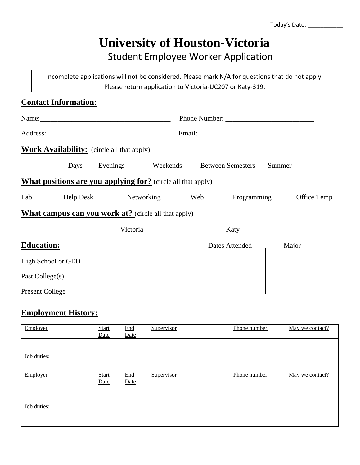# **University of Houston-Victoria**

### Student Employee Worker Application

Incomplete applications will not be considered. Please mark N/A for questions that do not apply. Please return application to Victoria-UC207 or Katy-319.

|                     | <b>Contact Information:</b> |                                                   |                                                                     |      |                |                         |  |  |
|---------------------|-----------------------------|---------------------------------------------------|---------------------------------------------------------------------|------|----------------|-------------------------|--|--|
| Name: $\frac{1}{2}$ |                             |                                                   |                                                                     |      |                |                         |  |  |
|                     |                             |                                                   |                                                                     |      |                |                         |  |  |
|                     |                             | <b>Work Availability:</b> (circle all that apply) |                                                                     |      |                |                         |  |  |
|                     |                             |                                                   | Days Evenings Weekends Between Semesters                            |      |                | Summer                  |  |  |
|                     |                             |                                                   | <b>What positions are you applying for?</b> (circle all that apply) |      |                |                         |  |  |
| Lab                 |                             | Help Desk Networking Web                          |                                                                     |      |                | Programming Office Temp |  |  |
|                     |                             |                                                   | <b>What campus can you work at?</b> (circle all that apply)         |      |                |                         |  |  |
|                     |                             | Victoria                                          |                                                                     | Katy |                |                         |  |  |
| <b>Education:</b>   |                             |                                                   |                                                                     |      | Dates Attended | Major                   |  |  |
|                     |                             |                                                   |                                                                     |      |                |                         |  |  |
|                     |                             |                                                   |                                                                     |      |                |                         |  |  |
|                     |                             | Present College                                   |                                                                     |      |                |                         |  |  |

#### **Employment History:**

| Employer    | <b>Start</b><br>Date | End<br>Date                      | Supervisor | Phone number | May we contact? |
|-------------|----------------------|----------------------------------|------------|--------------|-----------------|
|             |                      |                                  |            |              |                 |
| Job duties: |                      |                                  |            |              |                 |
| Employer    | <b>Start</b><br>Date | $\underline{\text{End}}$<br>Date | Supervisor | Phone number | May we contact? |
|             |                      |                                  |            |              |                 |
| Job duties: |                      |                                  |            |              |                 |
|             |                      |                                  |            |              |                 |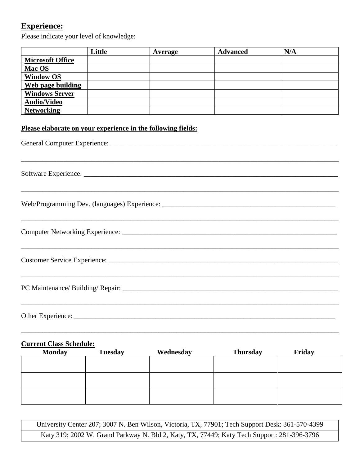#### **Experience:**

Please indicate your level of knowledge:

|                                                                                                | Little | Average   | <b>Advanced</b> | N/A |  |  |  |
|------------------------------------------------------------------------------------------------|--------|-----------|-----------------|-----|--|--|--|
| <b>Microsoft Office</b>                                                                        |        |           |                 |     |  |  |  |
| Mac OS                                                                                         |        |           |                 |     |  |  |  |
| <b>Window OS</b>                                                                               |        |           |                 |     |  |  |  |
| <b>Web page building</b>                                                                       |        |           |                 |     |  |  |  |
| <b>Windows Server</b>                                                                          |        |           |                 |     |  |  |  |
| <b>Audio/Video</b>                                                                             |        |           |                 |     |  |  |  |
| <b>Networking</b>                                                                              |        |           |                 |     |  |  |  |
| Please elaborate on your experience in the following fields:                                   |        |           |                 |     |  |  |  |
|                                                                                                |        |           |                 |     |  |  |  |
|                                                                                                |        |           |                 |     |  |  |  |
|                                                                                                |        |           |                 |     |  |  |  |
|                                                                                                |        |           |                 |     |  |  |  |
|                                                                                                |        |           |                 |     |  |  |  |
|                                                                                                |        |           |                 |     |  |  |  |
| <b>Current Class Schedule:</b><br><b>Monday</b><br><b>Tuesday</b><br><b>Thursday</b><br>Friday |        |           |                 |     |  |  |  |
|                                                                                                |        | Wednesday |                 |     |  |  |  |
|                                                                                                |        |           |                 |     |  |  |  |
|                                                                                                |        |           |                 |     |  |  |  |
|                                                                                                |        |           |                 |     |  |  |  |

University Center 207; 3007 N. Ben Wilson, Victoria, TX, 77901; Tech Support Desk: 361-570-4399 Katy 319; 2002 W. Grand Parkway N. Bld 2, Katy, TX, 77449; Katy Tech Support: 281-396-3796